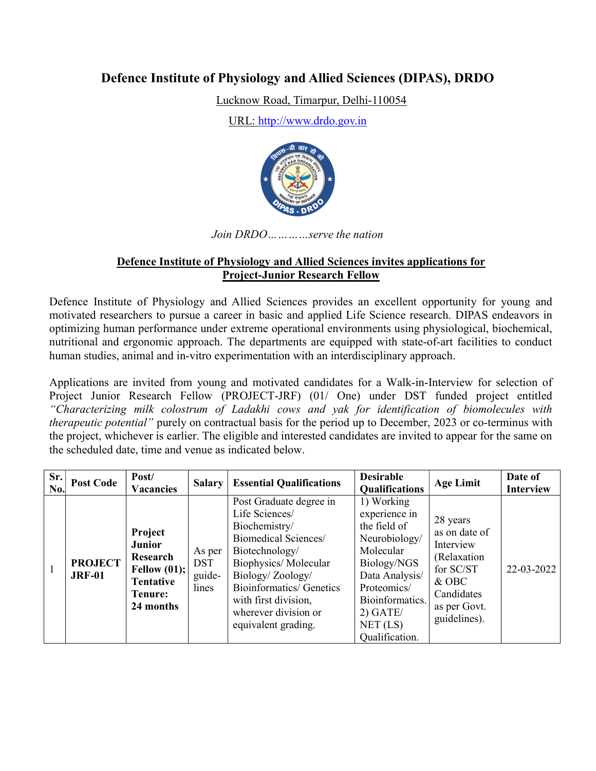# Defence Institute of Physiology and Allied Sciences (DIPAS), DRDO

Lucknow Road, Timarpur, Delhi-110054

URL: http://www.drdo.gov.in



Join DRDO…………serve the nation

#### Defence Institute of Physiology and Allied Sciences invites applications for Project-Junior Research Fellow

Defence Institute of Physiology and Allied Sciences provides an excellent opportunity for young and motivated researchers to pursue a career in basic and applied Life Science research. DIPAS endeavors in optimizing human performance under extreme operational environments using physiological, biochemical, nutritional and ergonomic approach. The departments are equipped with state-of-art facilities to conduct human studies, animal and in-vitro experimentation with an interdisciplinary approach.

Applications are invited from young and motivated candidates for a Walk-in-Interview for selection of Project Junior Research Fellow (PROJECT-JRF) (01/ One) under DST funded project entitled "Characterizing milk colostrum of Ladakhi cows and yak for identification of biomolecules with therapeutic potential" purely on contractual basis for the period up to December, 2023 or co-terminus with the project, whichever is earlier. The eligible and interested candidates are invited to appear for the same on the scheduled date, time and venue as indicated below.

| Sr.<br>No. | <b>Post Code</b>                | Post/<br><b>Vacancies</b>                                                                   | <b>Salary</b>                           | <b>Essential Qualifications</b>                                                                                                                                                                                                                            | <b>Desirable</b><br>Qualifications                                                                                                                                                       | <b>Age Limit</b>                                                                                                            | Date of<br><b>Interview</b> |
|------------|---------------------------------|---------------------------------------------------------------------------------------------|-----------------------------------------|------------------------------------------------------------------------------------------------------------------------------------------------------------------------------------------------------------------------------------------------------------|------------------------------------------------------------------------------------------------------------------------------------------------------------------------------------------|-----------------------------------------------------------------------------------------------------------------------------|-----------------------------|
|            | <b>PROJECT</b><br><b>JRF-01</b> | Project<br><b>Junior</b><br>Research<br>Fellow $(01);$<br>Tentative<br>Tenure:<br>24 months | As per<br><b>DST</b><br>guide-<br>lines | Post Graduate degree in<br>Life Sciences/<br>Biochemistry/<br>Biomedical Sciences/<br>Biotechnology/<br>Biophysics/Molecular<br>Biology/Zoology/<br><b>Bioinformatics/ Genetics</b><br>with first division,<br>wherever division or<br>equivalent grading. | 1) Working<br>experience in<br>the field of<br>Neurobiology/<br>Molecular<br>Biology/NGS<br>Data Analysis/<br>Proteomics/<br>Bioinformatics.<br>$2)$ GATE/<br>NET (LS)<br>Qualification. | 28 years<br>as on date of<br>Interview<br>(Relaxation<br>for SC/ST<br>$&$ OBC<br>Candidates<br>as per Govt.<br>guidelines). | 22-03-2022                  |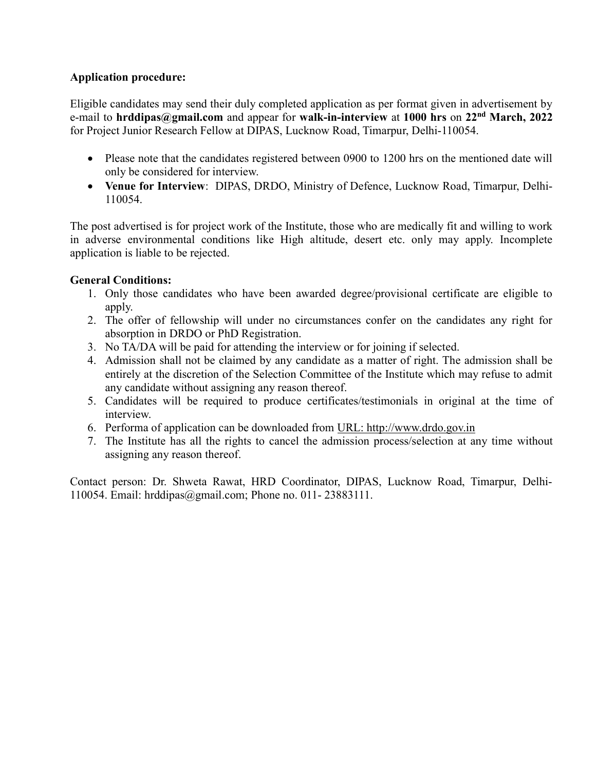## Application procedure:

Eligible candidates may send their duly completed application as per format given in advertisement by e-mail to hrddipas@gmail.com and appear for walk-in-interview at 1000 hrs on  $22<sup>nd</sup>$  March, 2022 for Project Junior Research Fellow at DIPAS, Lucknow Road, Timarpur, Delhi-110054.

- Please note that the candidates registered between 0900 to 1200 hrs on the mentioned date will only be considered for interview.
- Venue for Interview: DIPAS, DRDO, Ministry of Defence, Lucknow Road, Timarpur, Delhi-110054.

The post advertised is for project work of the Institute, those who are medically fit and willing to work in adverse environmental conditions like High altitude, desert etc. only may apply. Incomplete application is liable to be rejected.

### General Conditions:

- 1. Only those candidates who have been awarded degree/provisional certificate are eligible to apply.
- 2. The offer of fellowship will under no circumstances confer on the candidates any right for absorption in DRDO or PhD Registration.
- 3. No TA/DA will be paid for attending the interview or for joining if selected.
- 4. Admission shall not be claimed by any candidate as a matter of right. The admission shall be entirely at the discretion of the Selection Committee of the Institute which may refuse to admit any candidate without assigning any reason thereof.
- 5. Candidates will be required to produce certificates/testimonials in original at the time of interview.
- 6. Performa of application can be downloaded from URL: http://www.drdo.gov.in
- 7. The Institute has all the rights to cancel the admission process/selection at any time without assigning any reason thereof.

Contact person: Dr. Shweta Rawat, HRD Coordinator, DIPAS, Lucknow Road, Timarpur, Delhi-110054. Email: hrddipas@gmail.com; Phone no. 011- 23883111.